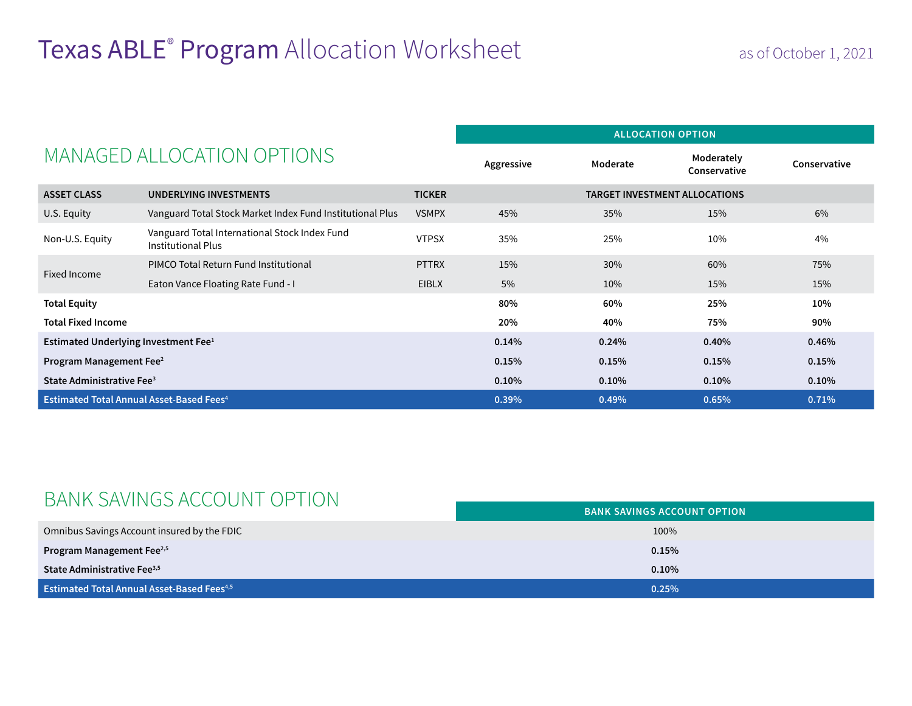## Texas ABLE<sup>®</sup> Program Allocation Worksheet as of October 1, 2021

| MANAGED ALLOCATION OPTIONS                                 |                                                                            | <b>ALLOCATION OPTION</b> |          |                                      |              |       |
|------------------------------------------------------------|----------------------------------------------------------------------------|--------------------------|----------|--------------------------------------|--------------|-------|
|                                                            |                                                                            | Aggressive               | Moderate | Moderately<br>Conservative           | Conservative |       |
| <b>ASSET CLASS</b>                                         | UNDERLYING INVESTMENTS                                                     | <b>TICKER</b>            |          | <b>TARGET INVESTMENT ALLOCATIONS</b> |              |       |
| U.S. Equity                                                | Vanguard Total Stock Market Index Fund Institutional Plus                  | <b>VSMPX</b>             | 45%      | 35%                                  | 15%          | 6%    |
| Non-U.S. Equity                                            | Vanguard Total International Stock Index Fund<br><b>Institutional Plus</b> | <b>VTPSX</b>             | 35%      | 25%                                  | 10%          | 4%    |
| Fixed Income                                               | PIMCO Total Return Fund Institutional                                      | <b>PTTRX</b>             | 15%      | 30%                                  | 60%          | 75%   |
|                                                            | Eaton Vance Floating Rate Fund - I                                         | <b>EIBLX</b>             | 5%       | 10%                                  | 15%          | 15%   |
| <b>Total Equity</b>                                        |                                                                            |                          | 80%      | 60%                                  | 25%          | 10%   |
| <b>Total Fixed Income</b>                                  |                                                                            |                          | 20%      | 40%                                  | 75%          | 90%   |
| Estimated Underlying Investment Fee <sup>1</sup>           |                                                                            |                          | 0.14%    | 0.24%                                | 0.40%        | 0.46% |
| Program Management Fee <sup>2</sup>                        |                                                                            |                          | 0.15%    | 0.15%                                | 0.15%        | 0.15% |
| State Administrative Fee <sup>3</sup>                      |                                                                            |                          | 0.10%    | 0.10%                                | $0.10\%$     | 0.10% |
| <b>Estimated Total Annual Asset-Based Fees<sup>4</sup></b> |                                                                            | 0.39%                    | 0.49%    | 0.65%                                | 0.71%        |       |

## BANK SAVINGS ACCOUNT OPTION

|                                                               | <b>BANK SAVINGS ACCOUNT OPTION</b> |  |  |
|---------------------------------------------------------------|------------------------------------|--|--|
| Omnibus Savings Account insured by the FDIC                   | 100%                               |  |  |
| Program Management Fee <sup>2,5</sup>                         | 0.15%                              |  |  |
| State Administrative Fee <sup>3,5</sup>                       | 0.10%                              |  |  |
| <b>Estimated Total Annual Asset-Based Fees</b> <sup>4,5</sup> | 0.25%                              |  |  |